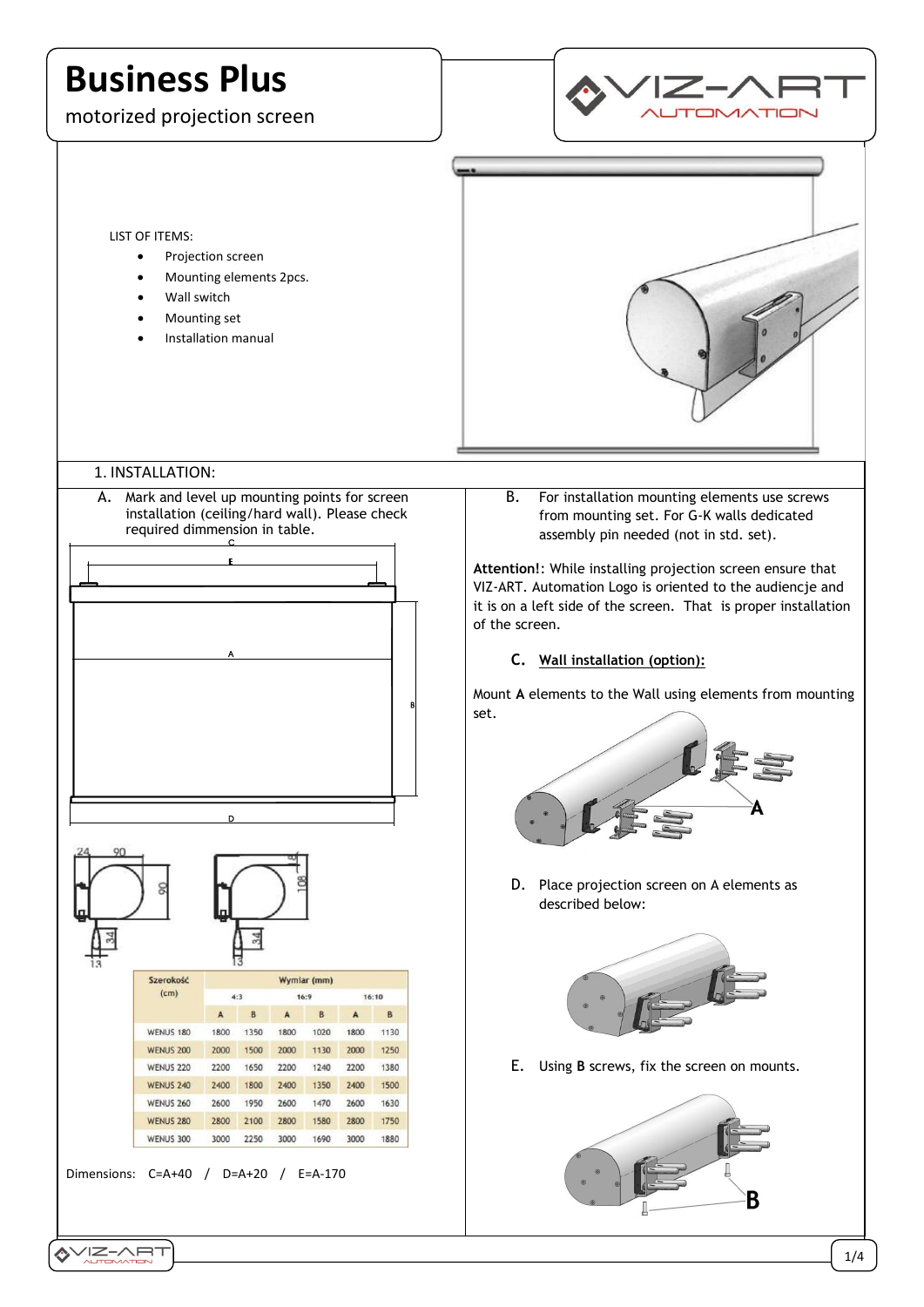# **Business Plus**

motorized projection screen



LIST OF ITEMS:

- Projection screen
- Mounting elements 2pcs.
- Wall switch
- Mounting set
- Installation manual



# 1. INSTALLATION:

A. Mark and level up mounting points for screen installation (ceiling/hard wall). Please check required dimmension in table.





B. For installation mounting elements use screws from mounting set. For G-K walls dedicated assembly pin needed (not in std. set).

**Attention!**: While installing projection screen ensure that VIZ-ART. Automation Logo is oriented to the audiencje and it is on a left side of the screen. That is proper installation of the screen.

### **C. Wall installation (option):**

Mount **A** elements to the Wall using elements from mounting set.



D. Place projection screen on A elements as described below:



E. Using **B** screws, fix the screen on mounts.

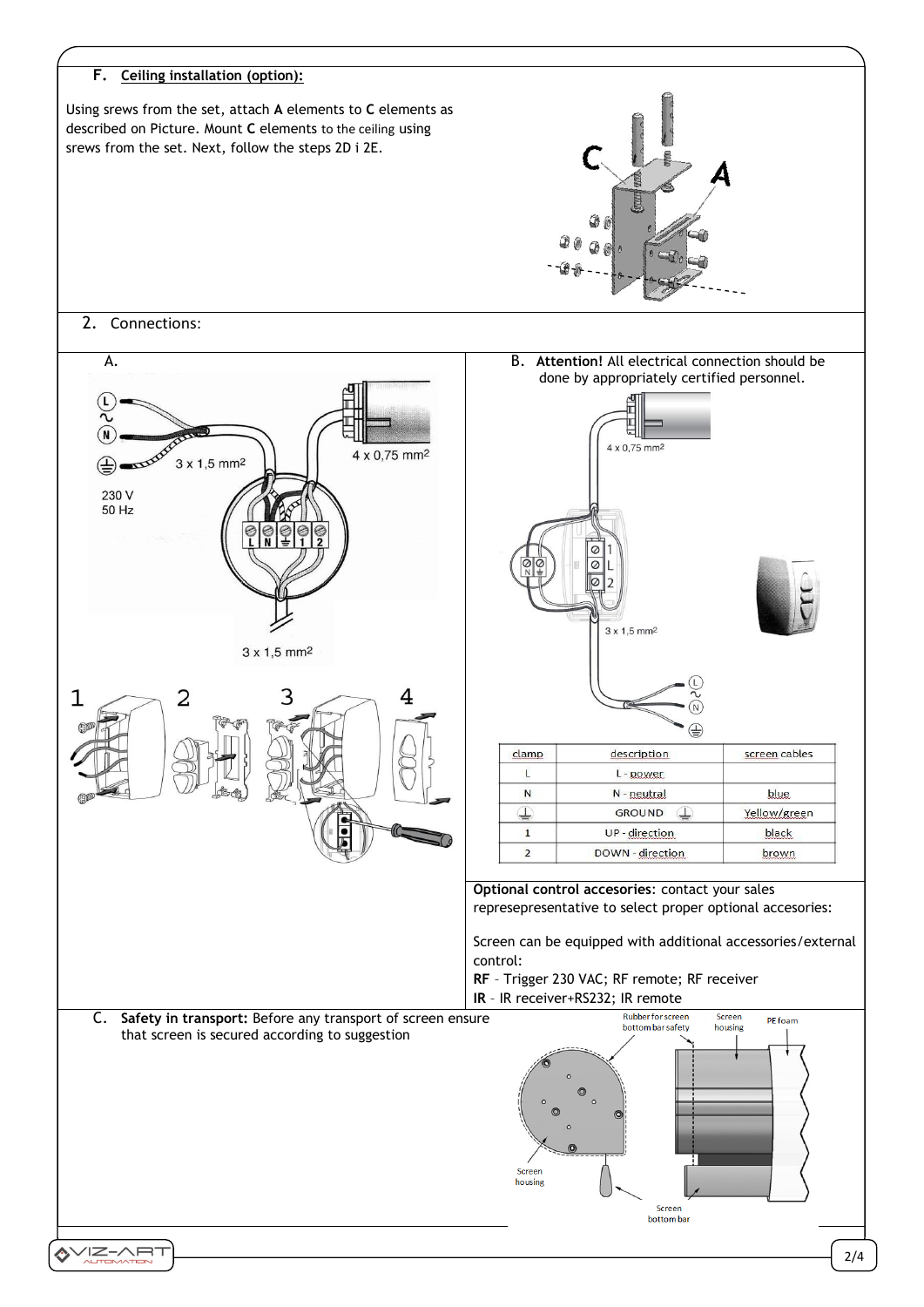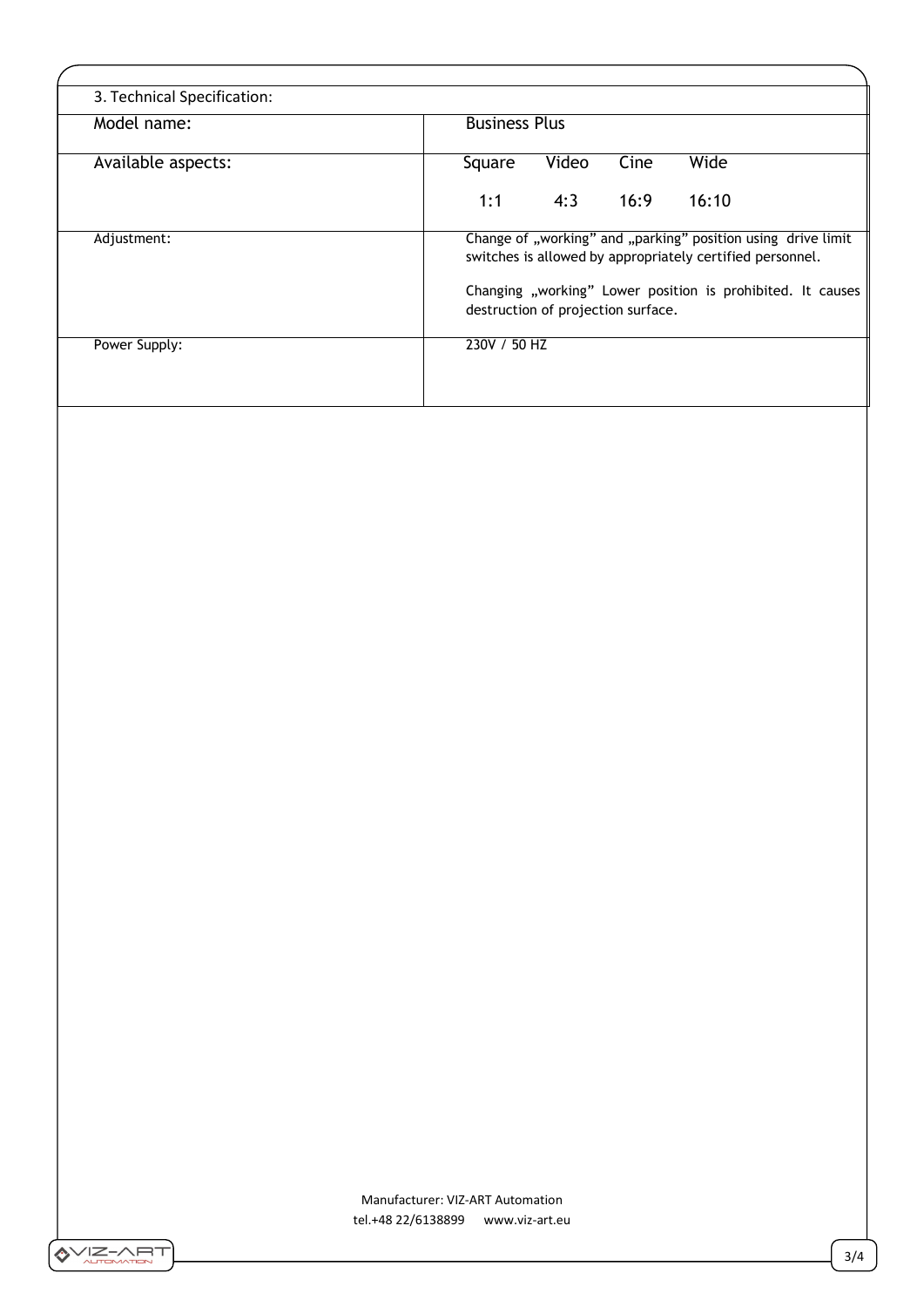| 3. Technical Specification: |                                                                                                                           |
|-----------------------------|---------------------------------------------------------------------------------------------------------------------------|
| Model name:                 | <b>Business Plus</b>                                                                                                      |
| Available aspects:          | Video<br>Cine<br>Wide<br>Square                                                                                           |
|                             | 4:3<br>16:9<br>1:1<br>16:10                                                                                               |
| Adjustment:                 | Change of "working" and "parking" position using drive limit<br>switches is allowed by appropriately certified personnel. |
|                             | Changing "working" Lower position is prohibited. It causes<br>destruction of projection surface.                          |
| Power Supply:               | 230V / 50 HZ                                                                                                              |

Manufacturer: VIZ-ART Automation tel.+48 22/6138899 www.viz-art.eu